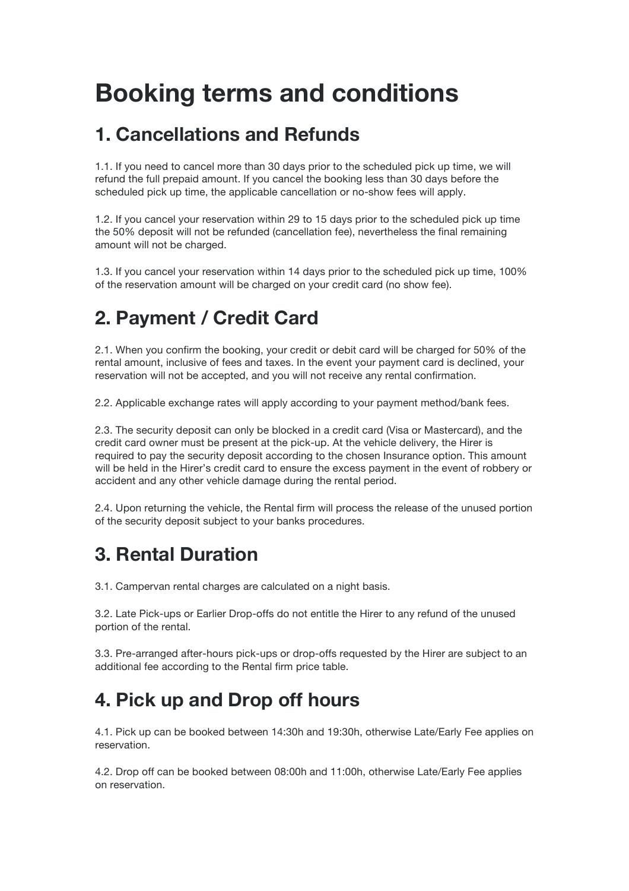# **Booking terms and conditions**

## **1. Cancellations and Refunds**

1.1. If you need to cancel more than 30 days prior to the scheduled pick up time, we will refund the full prepaid amount. If you cancel the booking less than 30 days before the scheduled pick up time, the applicable cancellation or no-show fees will apply.

1.2. If you cancel your reservation within 29 to 15 days prior to the scheduled pick up time the 50% deposit will not be refunded (cancellation fee), nevertheless the final remaining amount will not be charged.

1.3. If you cancel your reservation within 14 days prior to the scheduled pick up time, 100% of the reservation amount will be charged on your credit card (no show fee).

# **2. Payment / Credit Card**

2.1. When you confirm the booking, your credit or debit card will be charged for 50% of the rental amount, inclusive of fees and taxes. In the event your payment card is declined, your reservation will not be accepted, and you will not receive any rental confirmation.

2.2. Applicable exchange rates will apply according to your payment method/bank fees.

2.3. The security deposit can only be blocked in a credit card (Visa or Mastercard), and the credit card owner must be present at the pick-up. At the vehicle delivery, the Hirer is required to pay the security deposit according to the chosen Insurance option. This amount will be held in the Hirer's credit card to ensure the excess payment in the event of robbery or accident and any other vehicle damage during the rental period.

2.4. Upon returning the vehicle, the Rental firm will process the release of the unused portion of the security deposit subject to your banks procedures.

# **3. Rental Duration**

3.1. Campervan rental charges are calculated on a night basis.

3.2. Late Pick-ups or Earlier Drop-offs do not entitle the Hirer to any refund of the unused portion of the rental.

3.3. Pre-arranged after-hours pick-ups or drop-offs requested by the Hirer are subject to an additional fee according to the Rental firm price table.

# **4. Pick up and Drop off hours**

4.1. Pick up can be booked between 14:30h and 19:30h, otherwise Late/Early Fee applies on reservation.

4.2. Drop off can be booked between 08:00h and 11:00h, otherwise Late/Early Fee applies on reservation.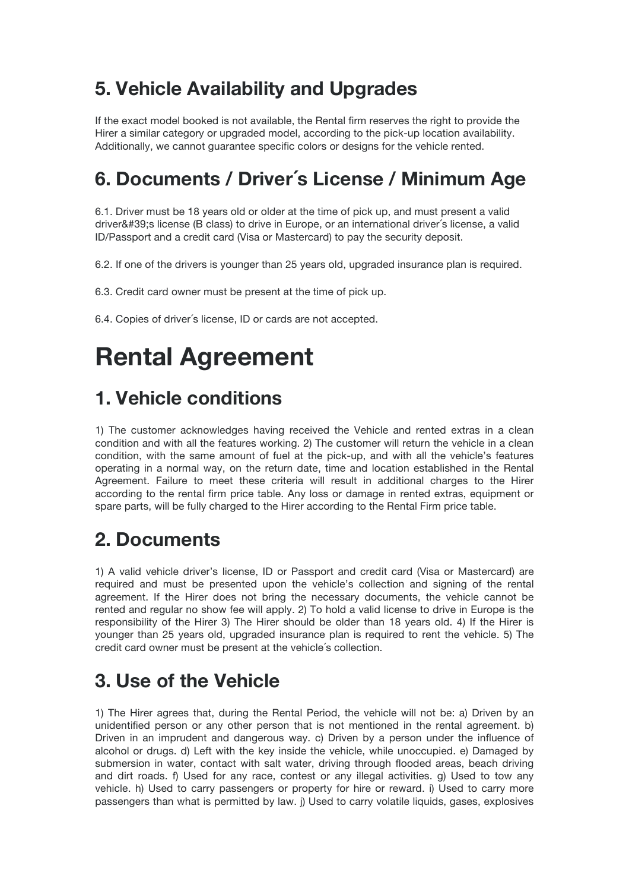# **5. Vehicle Availability and Upgrades**

If the exact model booked is not available, the Rental firm reserves the right to provide the Hirer a similar category or upgraded model, according to the pick-up location availability. Additionally, we cannot guarantee specific colors or designs for the vehicle rented.

# **6. Documents / Driver´s License / Minimum Age**

6.1. Driver must be 18 years old or older at the time of pick up, and must present a valid driver's license (B class) to drive in Europe, or an international driver's license, a valid ID/Passport and a credit card (Visa or Mastercard) to pay the security deposit.

6.2. If one of the drivers is younger than 25 years old, upgraded insurance plan is required.

6.3. Credit card owner must be present at the time of pick up.

6.4. Copies of driver´s license, ID or cards are not accepted.

# **Rental Agreement**

#### **1. Vehicle conditions**

1) The customer acknowledges having received the Vehicle and rented extras in a clean condition and with all the features working. 2) The customer will return the vehicle in a clean condition, with the same amount of fuel at the pick-up, and with all the vehicle's features operating in a normal way, on the return date, time and location established in the Rental Agreement. Failure to meet these criteria will result in additional charges to the Hirer according to the rental firm price table. Any loss or damage in rented extras, equipment or spare parts, will be fully charged to the Hirer according to the Rental Firm price table.

#### **2. Documents**

1) A valid vehicle driver's license, ID or Passport and credit card (Visa or Mastercard) are required and must be presented upon the vehicle's collection and signing of the rental agreement. If the Hirer does not bring the necessary documents, the vehicle cannot be rented and regular no show fee will apply. 2) To hold a valid license to drive in Europe is the responsibility of the Hirer 3) The Hirer should be older than 18 years old. 4) If the Hirer is younger than 25 years old, upgraded insurance plan is required to rent the vehicle. 5) The credit card owner must be present at the vehicle´s collection.

## **3. Use of the Vehicle**

1) The Hirer agrees that, during the Rental Period, the vehicle will not be: a) Driven by an unidentified person or any other person that is not mentioned in the rental agreement. b) Driven in an imprudent and dangerous way. c) Driven by a person under the influence of alcohol or drugs. d) Left with the key inside the vehicle, while unoccupied. e) Damaged by submersion in water, contact with salt water, driving through flooded areas, beach driving and dirt roads. f) Used for any race, contest or any illegal activities. g) Used to tow any vehicle. h) Used to carry passengers or property for hire or reward. i) Used to carry more passengers than what is permitted by law. j) Used to carry volatile liquids, gases, explosives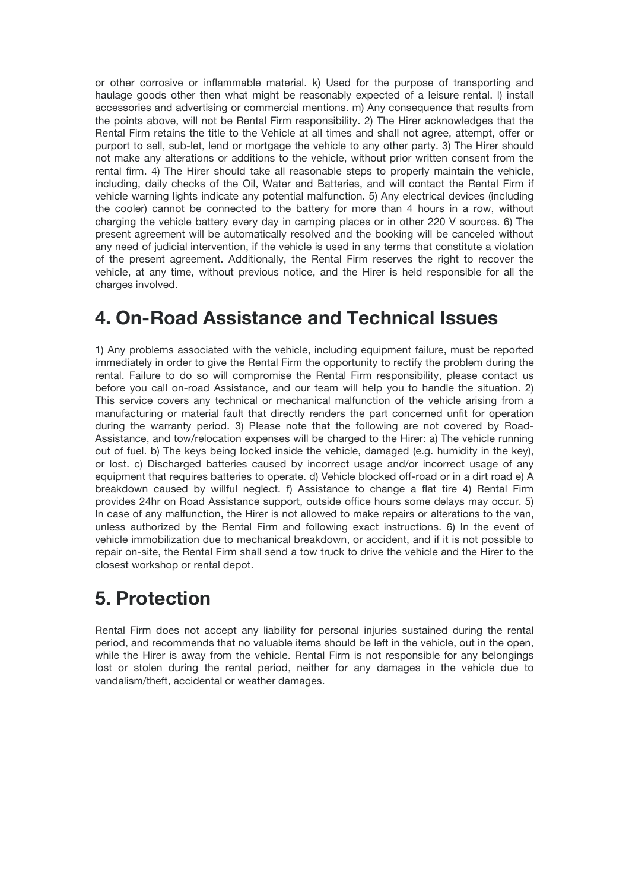or other corrosive or inflammable material. k) Used for the purpose of transporting and haulage goods other then what might be reasonably expected of a leisure rental. I) install accessories and advertising or commercial mentions. m) Any consequence that results from the points above, will not be Rental Firm responsibility. 2) The Hirer acknowledges that the Rental Firm retains the title to the Vehicle at all times and shall not agree, attempt, offer or purport to sell, sub-let, lend or mortgage the vehicle to any other party. 3) The Hirer should not make any alterations or additions to the vehicle, without prior written consent from the rental firm. 4) The Hirer should take all reasonable steps to properly maintain the vehicle, including, daily checks of the Oil, Water and Batteries, and will contact the Rental Firm if vehicle warning lights indicate any potential malfunction. 5) Any electrical devices (including the cooler) cannot be connected to the battery for more than 4 hours in a row, without charging the vehicle battery every day in camping places or in other 220 V sources. 6) The present agreement will be automatically resolved and the booking will be canceled without any need of judicial intervention, if the vehicle is used in any terms that constitute a violation of the present agreement. Additionally, the Rental Firm reserves the right to recover the vehicle, at any time, without previous notice, and the Hirer is held responsible for all the charges involved.

#### **4. On-Road Assistance and Technical Issues**

1) Any problems associated with the vehicle, including equipment failure, must be reported immediately in order to give the Rental Firm the opportunity to rectify the problem during the rental. Failure to do so will compromise the Rental Firm responsibility, please contact us before you call on-road Assistance, and our team will help you to handle the situation. 2) This service covers any technical or mechanical malfunction of the vehicle arising from a manufacturing or material fault that directly renders the part concerned unfit for operation during the warranty period. 3) Please note that the following are not covered by Road-Assistance, and tow/relocation expenses will be charged to the Hirer: a) The vehicle running out of fuel. b) The keys being locked inside the vehicle, damaged (e.g. humidity in the key), or lost. c) Discharged batteries caused by incorrect usage and/or incorrect usage of any equipment that requires batteries to operate. d) Vehicle blocked off-road or in a dirt road e) A breakdown caused by willful neglect. f) Assistance to change a flat tire 4) Rental Firm provides 24hr on Road Assistance support, outside office hours some delays may occur. 5) In case of any malfunction, the Hirer is not allowed to make repairs or alterations to the van, unless authorized by the Rental Firm and following exact instructions. 6) In the event of vehicle immobilization due to mechanical breakdown, or accident, and if it is not possible to repair on-site, the Rental Firm shall send a tow truck to drive the vehicle and the Hirer to the closest workshop or rental depot.

#### **5. Protection**

Rental Firm does not accept any liability for personal injuries sustained during the rental period, and recommends that no valuable items should be left in the vehicle, out in the open, while the Hirer is away from the vehicle. Rental Firm is not responsible for any belongings lost or stolen during the rental period, neither for any damages in the vehicle due to vandalism/theft, accidental or weather damages.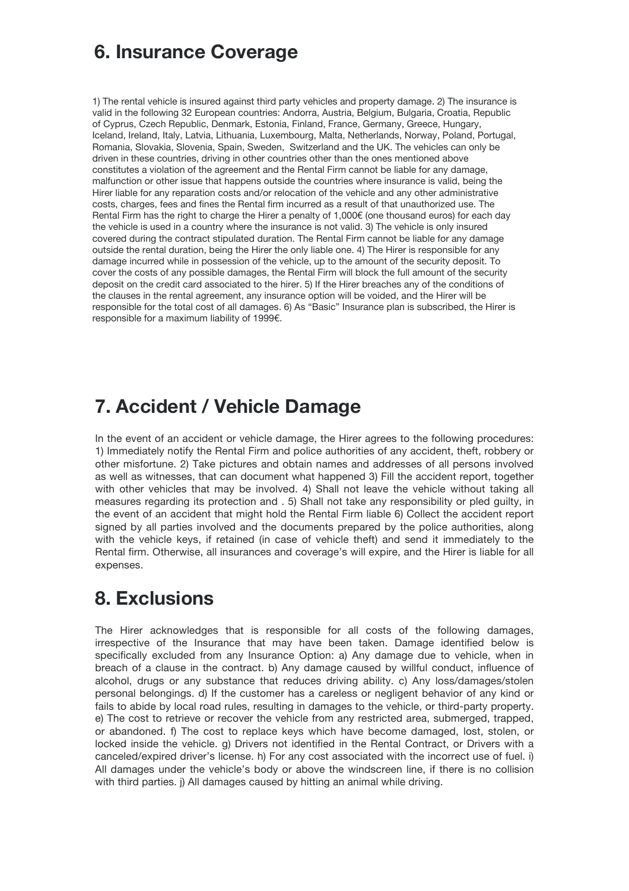### **6. Insurance Coverage**

1) The rental vehicle is insured against third party vehicles and property damage. 2) The insurance is valid in the following 32 European countries: Andorra, Austria, Belgium, Bulgaria, Croatia, Republic of Cyprus, Czech Republic, Denmark, Estonia, Finland, France, Germany, Greece, Hungary, Iceland, Ireland, Italy, Latvia, Lithuania, Luxembourg, Malta, Netherlands, Norway, Poland, Portugal, Romania, Slovakia, Slovenia, Spain, Sweden, Switzerland and the UK. The vehicles can only be driven in these countries, driving in other countries other than the ones mentioned above constitutes a violation of the agreement and the Rental Firm cannot be liable for any damage, malfunction or other issue that happens outside the countries where insurance is valid, being the Hirer liable for any reparation costs and/or relocation of the vehicle and any other administrative costs, charges, fees and fines the Rental firm incurred as a result of that unauthorized use. The Rental Firm has the right to charge the Hirer a penalty of 1,000€ (one thousand euros) for each day the vehicle is used in a country where the insurance is not valid. 3) The vehicle is only insured covered during the contract stipulated duration. The Rental Firm cannot be liable for any damage outside the rental duration, being the Hirer the only liable one. 4) The Hirer is responsible for any damage incurred while in possession of the vehicle, up to the amount of the security deposit. To cover the costs of any possible damages, the Rental Firm will block the full amount of the security deposit on the credit card associated to the hirer. 5) If the Hirer breaches any of the conditions of the clauses in the rental agreement, any insurance option will be voided, and the Hirer will be responsible for the total cost of all damages. 6) As "Basic" Insurance plan is subscribed, the Hirer is responsible for a maximum liability of 1999€.

## **7. Accident / Vehicle Damage**

In the event of an accident or vehicle damage, the Hirer agrees to the following procedures: 1) Immediately notify the Rental Firm and police authorities of any accident, theft, robbery or other misfortune. 2) Take pictures and obtain names and addresses of all persons involved as well as witnesses, that can document what happened 3) Fill the accident report, together with other vehicles that may be involved. 4) Shall not leave the vehicle without taking all measures regarding its protection and . 5) Shall not take any responsibility or pled guilty, in the event of an accident that might hold the Rental Firm liable 6) Collect the accident report signed by all parties involved and the documents prepared by the police authorities, along with the vehicle keys, if retained (in case of vehicle theft) and send it immediately to the Rental firm. Otherwise, all insurances and coverage's will expire, and the Hirer is liable for all expenses.

#### **8. Exclusions**

The Hirer acknowledges that is responsible for all costs of the following damages, irrespective of the Insurance that may have been taken. Damage identified below is specifically excluded from any Insurance Option: a) Any damage due to vehicle, when in breach of a clause in the contract. b) Any damage caused by willful conduct, influence of alcohol, drugs or any substance that reduces driving ability. c) Any loss/damages/stolen personal belongings. d) If the customer has a careless or negligent behavior of any kind or fails to abide by local road rules, resulting in damages to the vehicle, or third-party property. e) The cost to retrieve or recover the vehicle from any restricted area, submerged, trapped, or abandoned. f) The cost to replace keys which have become damaged, lost, stolen, or locked inside the vehicle. g) Drivers not identified in the Rental Contract, or Drivers with a canceled/expired driver's license. h) For any cost associated with the incorrect use of fuel. i) All damages under the vehicle's body or above the windscreen line, if there is no collision with third parties. *i*) All damages caused by hitting an animal while driving.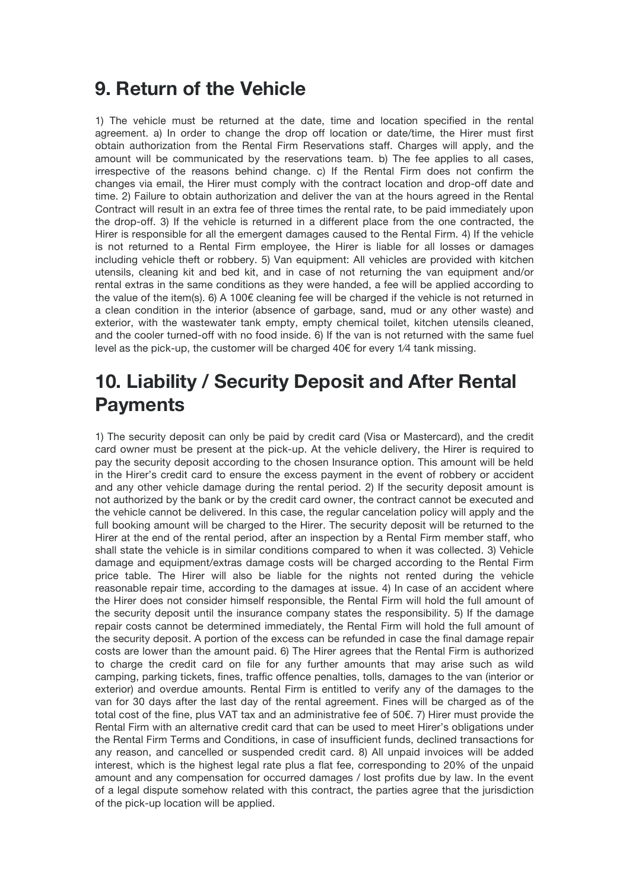#### **9. Return of the Vehicle**

1) The vehicle must be returned at the date, time and location specified in the rental agreement. a) In order to change the drop off location or date/time, the Hirer must first obtain authorization from the Rental Firm Reservations staff. Charges will apply, and the amount will be communicated by the reservations team. b) The fee applies to all cases, irrespective of the reasons behind change. c) If the Rental Firm does not confirm the changes via email, the Hirer must comply with the contract location and drop-off date and time. 2) Failure to obtain authorization and deliver the van at the hours agreed in the Rental Contract will result in an extra fee of three times the rental rate, to be paid immediately upon the drop-off. 3) If the vehicle is returned in a different place from the one contracted, the Hirer is responsible for all the emergent damages caused to the Rental Firm. 4) If the vehicle is not returned to a Rental Firm employee, the Hirer is liable for all losses or damages including vehicle theft or robbery. 5) Van equipment: All vehicles are provided with kitchen utensils, cleaning kit and bed kit, and in case of not returning the van equipment and/or rental extras in the same conditions as they were handed, a fee will be applied according to the value of the item(s). 6) A 100€ cleaning fee will be charged if the vehicle is not returned in a clean condition in the interior (absence of garbage, sand, mud or any other waste) and exterior, with the wastewater tank empty, empty chemical toilet, kitchen utensils cleaned, and the cooler turned-off with no food inside. 6) If the van is not returned with the same fuel level as the pick-up, the customer will be charged  $40 \epsilon$  for every  $1/4$  tank missing.

### **10. Liability / Security Deposit and After Rental Payments**

1) The security deposit can only be paid by credit card (Visa or Mastercard), and the credit card owner must be present at the pick-up. At the vehicle delivery, the Hirer is required to pay the security deposit according to the chosen Insurance option. This amount will be held in the Hirer's credit card to ensure the excess payment in the event of robbery or accident and any other vehicle damage during the rental period. 2) If the security deposit amount is not authorized by the bank or by the credit card owner, the contract cannot be executed and the vehicle cannot be delivered. In this case, the regular cancelation policy will apply and the full booking amount will be charged to the Hirer. The security deposit will be returned to the Hirer at the end of the rental period, after an inspection by a Rental Firm member staff, who shall state the vehicle is in similar conditions compared to when it was collected. 3) Vehicle damage and equipment/extras damage costs will be charged according to the Rental Firm price table. The Hirer will also be liable for the nights not rented during the vehicle reasonable repair time, according to the damages at issue. 4) In case of an accident where the Hirer does not consider himself responsible, the Rental Firm will hold the full amount of the security deposit until the insurance company states the responsibility. 5) If the damage repair costs cannot be determined immediately, the Rental Firm will hold the full amount of the security deposit. A portion of the excess can be refunded in case the final damage repair costs are lower than the amount paid. 6) The Hirer agrees that the Rental Firm is authorized to charge the credit card on file for any further amounts that may arise such as wild camping, parking tickets, fines, traffic offence penalties, tolls, damages to the van (interior or exterior) and overdue amounts. Rental Firm is entitled to verify any of the damages to the van for 30 days after the last day of the rental agreement. Fines will be charged as of the total cost of the fine, plus VAT tax and an administrative fee of 50€. 7) Hirer must provide the Rental Firm with an alternative credit card that can be used to meet Hirer's obligations under the Rental Firm Terms and Conditions, in case of insufficient funds, declined transactions for any reason, and cancelled or suspended credit card. 8) All unpaid invoices will be added interest, which is the highest legal rate plus a flat fee, corresponding to 20% of the unpaid amount and any compensation for occurred damages / lost profits due by law. In the event of a legal dispute somehow related with this contract, the parties agree that the jurisdiction of the pick-up location will be applied.